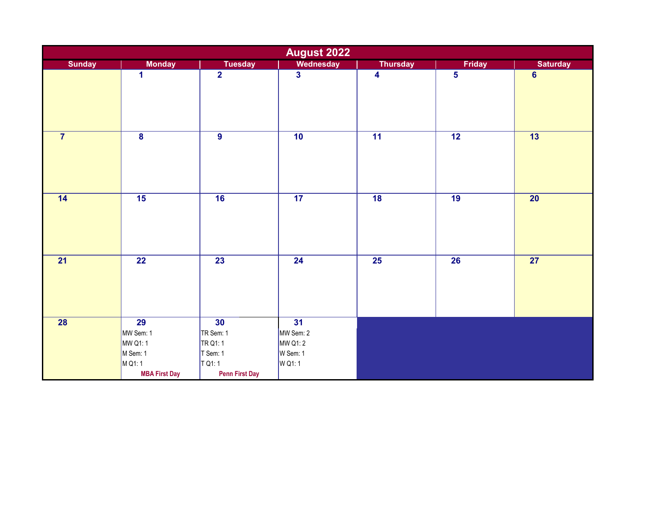| <b>August 2022</b> |                                                                                        |                                                                            |                                                   |                         |                 |                 |  |
|--------------------|----------------------------------------------------------------------------------------|----------------------------------------------------------------------------|---------------------------------------------------|-------------------------|-----------------|-----------------|--|
| <b>Sunday</b>      | <b>Monday</b>                                                                          | <b>Tuesday</b>                                                             | <b>Wednesday</b>                                  | <b>Thursday</b>         | <b>Friday</b>   | <b>Saturday</b> |  |
|                    | 1                                                                                      | $\overline{2}$                                                             | $\overline{\mathbf{3}}$                           | $\overline{\mathbf{4}}$ | $\overline{5}$  | $6\phantom{a}$  |  |
| $\overline{7}$     | $\overline{\mathbf{8}}$                                                                | $\overline{9}$                                                             | 10                                                | $\overline{11}$         | $\overline{12}$ | 13              |  |
| 14                 | $\overline{15}$                                                                        | 16                                                                         | $\overline{17}$                                   | $\overline{18}$         | $\overline{19}$ | $\overline{20}$ |  |
| $\overline{21}$    | $\overline{22}$                                                                        | $\overline{23}$                                                            | $\overline{24}$                                   | $\overline{25}$         | $\overline{26}$ | $\overline{27}$ |  |
| $\overline{28}$    | $\overline{29}$<br>MW Sem: 1<br>MW Q1:1<br>M Sem: 1<br>M Q1: 1<br><b>MBA First Day</b> | 30<br>TR Sem: 1<br>TR Q1: 1<br>T Sem: 1<br>T Q1:1<br><b>Penn First Day</b> | 31<br>MW Sem: 2<br>MW Q1: 2<br>W Sem: 1<br>W Q1:1 |                         |                 |                 |  |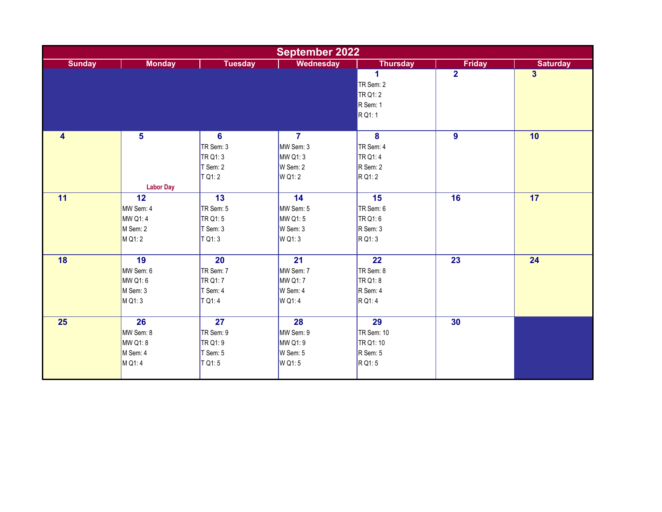|                 | <b>September 2022</b> |                        |                  |                         |                |                 |  |  |
|-----------------|-----------------------|------------------------|------------------|-------------------------|----------------|-----------------|--|--|
| <b>Sunday</b>   | <b>Monday</b>         | <b>Tuesday</b>         | <b>Wednesday</b> | <b>Thursday</b>         | <b>Friday</b>  | <b>Saturday</b> |  |  |
|                 |                       |                        |                  | 1                       | $\overline{2}$ | $\overline{3}$  |  |  |
|                 |                       |                        |                  | TR Sem: 2               |                |                 |  |  |
|                 |                       |                        |                  | TR Q1: 2                |                |                 |  |  |
|                 |                       |                        |                  | R Sem: 1                |                |                 |  |  |
|                 |                       |                        |                  | R Q1:1                  |                |                 |  |  |
|                 |                       |                        |                  |                         |                |                 |  |  |
| 4               | $5\phantom{a}$        | $\overline{6}$         | $\overline{7}$   | $\overline{\mathbf{8}}$ | $\overline{9}$ | 10              |  |  |
|                 |                       | TR Sem: 3              | MW Sem: 3        | TR Sem: 4               |                |                 |  |  |
|                 |                       | TR Q1: 3               | MW Q1:3          | TR Q1: 4                |                |                 |  |  |
|                 |                       | T Sem: 2               | W Sem: 2         | R Sem: 2                |                |                 |  |  |
|                 |                       | T Q1: 2                | W Q1: 2          | R Q1: 2                 |                |                 |  |  |
|                 | <b>Labor Day</b>      |                        |                  |                         |                |                 |  |  |
| 11              | 12                    | 13                     | 14               | 15                      | 16             | 17              |  |  |
|                 | MW Sem: 4             | TR Sem: 5              | MW Sem: 5        | TR Sem: 6               |                |                 |  |  |
|                 | MW Q1:4               | TR Q1:5                | MW Q1:5          | TR Q1:6                 |                |                 |  |  |
|                 | M Sem: 2              | T Sem: 3               | W Sem: 3         | R Sem: 3                |                |                 |  |  |
|                 | M Q1: 2               | $T$ Q <sub>1</sub> : 3 | W Q1: 3          | R Q1: 3                 |                |                 |  |  |
|                 |                       |                        |                  |                         |                |                 |  |  |
| 18              | 19                    | $\overline{20}$        | $\overline{21}$  | $\overline{22}$         | 23             | 24              |  |  |
|                 | MW Sem: 6             | TR Sem: 7              | MW Sem: 7        | TR Sem: 8               |                |                 |  |  |
|                 | MW Q1:6               | TR Q1: 7               | MW Q1:7          | TR Q1: 8                |                |                 |  |  |
|                 | M Sem: 3              | T Sem: 4               | W Sem: 4         | R Sem: 4                |                |                 |  |  |
|                 | M Q1: 3               | T Q1:4                 | W Q1:4           | R Q1:4                  |                |                 |  |  |
|                 |                       |                        |                  |                         |                |                 |  |  |
| $\overline{25}$ | $\overline{26}$       | $\overline{27}$        | $\overline{28}$  | $\overline{29}$         | 30             |                 |  |  |
|                 | MW Sem: 8             | TR Sem: 9              | MW Sem: 9        | TR Sem: 10              |                |                 |  |  |
|                 | MW Q1: 8              | TR Q1: 9               | MW Q1: 9         | TR Q1: 10               |                |                 |  |  |
|                 | M Sem: 4              | T Sem: 5               | W Sem: 5         | R Sem: 5                |                |                 |  |  |
|                 | M Q1:4                | $T$ Q <sub>1</sub> : 5 | W Q1:5           | R Q1:5                  |                |                 |  |  |
|                 |                       |                        |                  |                         |                |                 |  |  |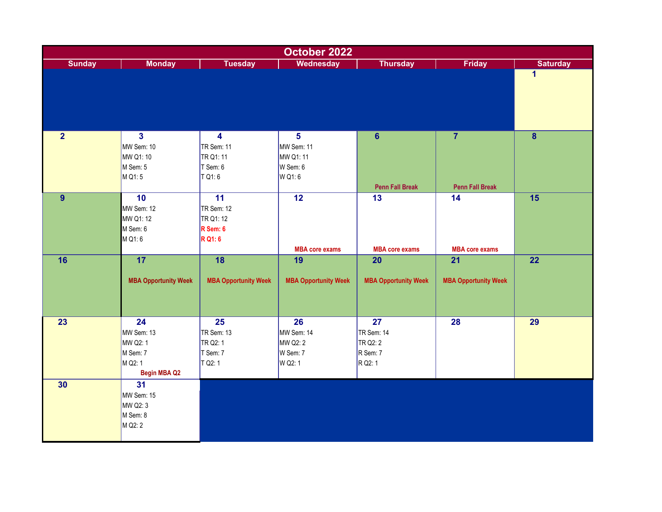| October 2022   |                                                                            |                                                                          |                                                                 |                                                     |                                          |                         |  |
|----------------|----------------------------------------------------------------------------|--------------------------------------------------------------------------|-----------------------------------------------------------------|-----------------------------------------------------|------------------------------------------|-------------------------|--|
| <b>Sunday</b>  | <b>Monday</b>                                                              | <b>Tuesday</b>                                                           | <b>Wednesday</b>                                                | <b>Thursday</b>                                     | Friday                                   | <b>Saturday</b>         |  |
|                |                                                                            |                                                                          |                                                                 |                                                     |                                          | $\mathbf{1}$            |  |
| $\overline{2}$ | $\overline{\mathbf{3}}$<br>MW Sem: 10<br>MW Q1: 10<br>M Sem: 5<br>M Q1:5   | $\overline{\mathbf{4}}$<br>TR Sem: 11<br>TR Q1: 11<br>T Sem: 6<br>T Q1:6 | $\overline{5}$<br>MW Sem: 11<br>MW Q1: 11<br>W Sem: 6<br>W Q1:6 | $6\phantom{a}$<br><b>Penn Fall Break</b>            | $\overline{7}$<br><b>Penn Fall Break</b> | $\overline{\mathbf{8}}$ |  |
| 9              | 10<br>MW Sem: 12<br>MW Q1: 12<br>M Sem: 6<br>M Q1:6                        | $\overline{11}$<br>TR Sem: 12<br>TR Q1: 12<br>R Sem: 6<br><b>R</b> Q1: 6 | $\overline{12}$<br><b>MBA core exams</b>                        | 13<br><b>MBA core exams</b>                         | 14<br><b>MBA core exams</b>              | 15                      |  |
| 16             | $\overline{17}$<br><b>MBA Opportunity Week</b>                             | 18<br><b>MBA Opportunity Week</b>                                        | 19<br><b>MBA Opportunity Week</b>                               | 20<br><b>MBA Opportunity Week</b>                   | 21<br><b>MBA Opportunity Week</b>        | 22                      |  |
| 23             | 24<br>MW Sem: 13<br>MW Q2: 1<br>M Sem: 7<br>M Q2: 1<br><b>Begin MBA Q2</b> | 25<br>TR Sem: 13<br>TR Q2: 1<br>T Sem: 7<br>T Q2: 1                      | 26<br>MW Sem: 14<br>MW Q2: 2<br>W Sem: 7<br>W Q2: 1             | 27<br>TR Sem: 14<br>TR Q2: 2<br>R Sem: 7<br>R Q2: 1 | 28                                       | 29                      |  |
| 30             | $\overline{31}$<br>MW Sem: 15<br>MW Q2: 3<br>M Sem: 8<br>M Q2: 2           |                                                                          |                                                                 |                                                     |                                          |                         |  |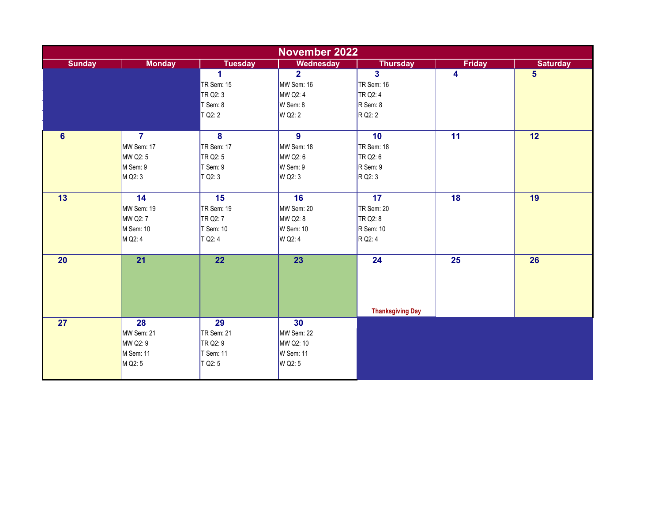|                | <b>November 2022</b> |                         |                  |                         |                 |                         |  |  |
|----------------|----------------------|-------------------------|------------------|-------------------------|-----------------|-------------------------|--|--|
| <b>Sunday</b>  | <b>Monday</b>        | <b>Tuesday</b>          | <b>Wednesday</b> | <b>Thursday</b>         | <b>Friday</b>   | <b>Saturday</b>         |  |  |
|                |                      | 1                       | $\overline{2}$   | $\overline{\mathbf{3}}$ | 4               | $\overline{\mathbf{5}}$ |  |  |
|                |                      | TR Sem: 15              | MW Sem: 16       | TR Sem: 16              |                 |                         |  |  |
|                |                      | TR Q2: 3                | MW Q2: 4         | TR Q2: 4                |                 |                         |  |  |
|                |                      | T Sem: 8                | W Sem: 8         | R Sem: 8                |                 |                         |  |  |
|                |                      | T Q2: 2                 | W Q2: 2          | R Q2: 2                 |                 |                         |  |  |
|                |                      |                         |                  |                         |                 |                         |  |  |
| $6\phantom{1}$ | $\overline{7}$       | $\overline{\mathbf{8}}$ | $\overline{9}$   | 10                      | $\overline{11}$ | 12                      |  |  |
|                | MW Sem: 17           | TR Sem: 17              | MW Sem: 18       | TR Sem: 18              |                 |                         |  |  |
|                | MW Q2: 5             | TR Q2: 5                | MW Q2: 6         | TR Q2: 6                |                 |                         |  |  |
|                | M Sem: 9             | T Sem: 9                | W Sem: 9         | R Sem: 9                |                 |                         |  |  |
|                | M Q2: 3              | T Q2: 3                 | W Q2: 3          | R Q2: 3                 |                 |                         |  |  |
|                |                      |                         |                  |                         |                 |                         |  |  |
| 13             | 14                   | 15                      | 16               | 17                      | 18              | 19                      |  |  |
|                | MW Sem: 19           | <b>TR Sem: 19</b>       | MW Sem: 20       | TR Sem: 20              |                 |                         |  |  |
|                | MW Q2: 7             | TR Q2: 7                | MW Q2: 8         | TR Q2: 8                |                 |                         |  |  |
|                | M Sem: 10            | T Sem: 10               | W Sem: 10        | $R$ Sem: 10             |                 |                         |  |  |
|                | M Q2: 4              | T Q2: 4                 | W Q2: 4          | R Q2: 4                 |                 |                         |  |  |
|                |                      |                         |                  |                         |                 |                         |  |  |
| 20             | $\overline{21}$      | 22                      | 23               | 24                      | 25              | 26                      |  |  |
|                |                      |                         |                  |                         |                 |                         |  |  |
|                |                      |                         |                  |                         |                 |                         |  |  |
|                |                      |                         |                  |                         |                 |                         |  |  |
|                |                      |                         |                  |                         |                 |                         |  |  |
|                |                      |                         |                  | <b>Thanksgiving Day</b> |                 |                         |  |  |
| 27             | $\overline{28}$      | $\overline{29}$         | 30               |                         |                 |                         |  |  |
|                | MW Sem: 21           | TR Sem: 21              | MW Sem: 22       |                         |                 |                         |  |  |
|                | MW Q2: 9             | TR Q2: 9                | MW Q2: 10        |                         |                 |                         |  |  |
|                | M Sem: 11            | T Sem: 11               | W Sem: 11        |                         |                 |                         |  |  |
|                | M Q2: 5              | T Q2:5                  | W Q2: 5          |                         |                 |                         |  |  |
|                |                      |                         |                  |                         |                 |                         |  |  |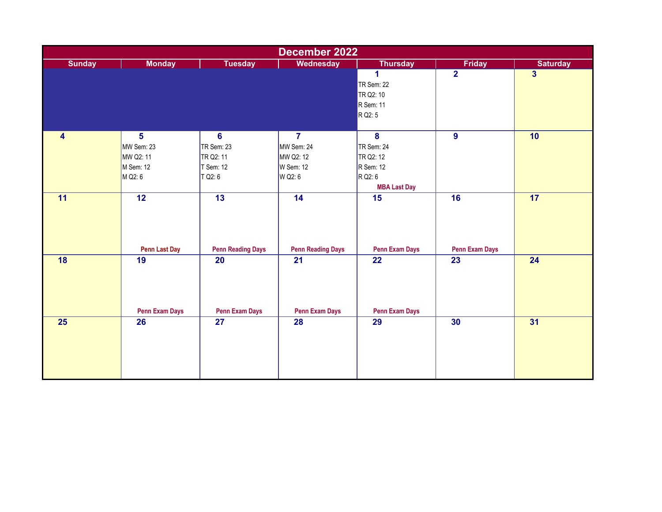| December 2022           |                       |                          |                          |                         |                       |                         |  |  |
|-------------------------|-----------------------|--------------------------|--------------------------|-------------------------|-----------------------|-------------------------|--|--|
| <b>Sunday</b>           | <b>Monday</b>         | <b>Tuesday</b>           | Wednesday                | <b>Thursday</b>         | <b>Friday</b>         | <b>Saturday</b>         |  |  |
|                         |                       |                          |                          | $\overline{1}$          | $\overline{2}$        | $\overline{\mathbf{3}}$ |  |  |
|                         |                       |                          |                          | TR Sem: 22              |                       |                         |  |  |
|                         |                       |                          |                          | TR Q2: 10               |                       |                         |  |  |
|                         |                       |                          |                          | R Sem: 11               |                       |                         |  |  |
|                         |                       |                          |                          | R Q2: 5                 |                       |                         |  |  |
| $\overline{\mathbf{4}}$ | 5                     | $6\phantom{1}6$          | $\overline{7}$           | $\overline{\mathbf{8}}$ | $\boldsymbol{9}$      | 10                      |  |  |
|                         | MW Sem: 23            | TR Sem: 23               | MW Sem: 24               | TR Sem: 24              |                       |                         |  |  |
|                         | MW Q2: 11             | TR Q2: 11                | MW Q2: 12                | TR Q2: 12               |                       |                         |  |  |
|                         | M Sem: 12             | T Sem: 12                | W Sem: 12                | $R$ Sem: 12             |                       |                         |  |  |
|                         | M Q2: 6               | T Q2: 6                  | W Q2: 6                  | R Q2: 6                 |                       |                         |  |  |
|                         |                       |                          |                          | <b>MBA Last Day</b>     |                       |                         |  |  |
| 11                      | $\overline{12}$       | $\overline{13}$          | 14                       | 15                      | 16                    | 17 <sub>2</sub>         |  |  |
|                         |                       |                          |                          |                         |                       |                         |  |  |
|                         |                       |                          |                          |                         |                       |                         |  |  |
|                         | <b>Penn Last Day</b>  | <b>Penn Reading Days</b> | <b>Penn Reading Days</b> | <b>Penn Exam Days</b>   | <b>Penn Exam Days</b> |                         |  |  |
| 18                      | 19                    | 20                       | 21                       | 22                      | 23                    | 24                      |  |  |
|                         |                       |                          |                          |                         |                       |                         |  |  |
|                         |                       |                          |                          |                         |                       |                         |  |  |
|                         | <b>Penn Exam Days</b> | <b>Penn Exam Days</b>    | <b>Penn Exam Days</b>    | <b>Penn Exam Days</b>   |                       |                         |  |  |
| 25                      | 26                    | 27                       | 28                       | 29                      | 30                    | 31                      |  |  |
|                         |                       |                          |                          |                         |                       |                         |  |  |
|                         |                       |                          |                          |                         |                       |                         |  |  |
|                         |                       |                          |                          |                         |                       |                         |  |  |
|                         |                       |                          |                          |                         |                       |                         |  |  |
|                         |                       |                          |                          |                         |                       |                         |  |  |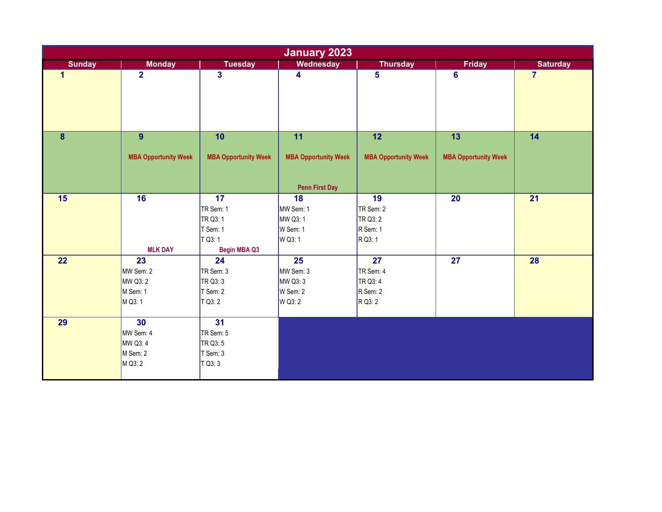|                  |                             |                             | <b>January 2023</b>         |                             |                             |                 |
|------------------|-----------------------------|-----------------------------|-----------------------------|-----------------------------|-----------------------------|-----------------|
| <b>Sunday</b>    | <b>Monday</b>               | <b>Tuesday</b>              | <b>Wednesday</b>            | <b>Thursday</b>             | <b>Friday</b>               | <b>Saturday</b> |
|                  | $\overline{2}$              | $\overline{\mathbf{3}}$     | $\overline{\mathbf{4}}$     | 5                           | $6\phantom{a}$              | $\overline{7}$  |
|                  |                             |                             |                             |                             |                             |                 |
|                  |                             |                             |                             |                             |                             |                 |
|                  |                             |                             |                             |                             |                             |                 |
|                  |                             |                             |                             |                             |                             |                 |
|                  |                             |                             |                             |                             |                             |                 |
| $\boldsymbol{8}$ | 9                           | 10                          | 11                          | 12                          | 13                          | 14              |
|                  |                             |                             |                             |                             |                             |                 |
|                  | <b>MBA Opportunity Week</b> | <b>MBA Opportunity Week</b> | <b>MBA Opportunity Week</b> | <b>MBA Opportunity Week</b> | <b>MBA Opportunity Week</b> |                 |
|                  |                             |                             |                             |                             |                             |                 |
|                  |                             |                             |                             |                             |                             |                 |
|                  |                             |                             | <b>Penn First Day</b>       |                             |                             |                 |
| 15               | 16                          | $\overline{17}$             | 18                          | 19                          | 20                          | 21              |
|                  |                             | TR Sem: 1                   | MW Sem: 1                   | TR Sem: 2                   |                             |                 |
|                  |                             | TR Q3: 1                    | MW Q3: 1                    | TR Q3: 2                    |                             |                 |
|                  |                             | T Sem: 1                    | W Sem: 1                    | R Sem: 1                    |                             |                 |
|                  |                             | T Q3: 1                     | W Q3: 1                     | R Q3: 1                     |                             |                 |
|                  | <b>MLK DAY</b>              | <b>Begin MBA Q3</b>         |                             |                             |                             |                 |
| 22               | 23                          | 24                          | $\overline{25}$             | $\overline{27}$             | 27                          | 28              |
|                  | MW Sem: 2                   | TR Sem: 3                   | MW Sem: 3                   | TR Sem: 4                   |                             |                 |
|                  | MW Q3: 2                    | TR Q3: 3                    | MW Q3: 3                    | TR Q3: 4                    |                             |                 |
|                  | M Sem: 1                    | T Sem: 2                    | W Sem: 2                    | R Sem: 2                    |                             |                 |
|                  | M Q3: 1                     | $T$ Q3: 2                   | W Q3: 2                     | R Q3: 2                     |                             |                 |
|                  |                             |                             |                             |                             |                             |                 |
| 29               | 30                          | $\overline{31}$             |                             |                             |                             |                 |
|                  | MW Sem: 4                   | TR Sem: 5                   |                             |                             |                             |                 |
|                  | MW Q3: 4                    | TR Q3: 5                    |                             |                             |                             |                 |
|                  | M Sem: 2                    | $T$ Sem: 3                  |                             |                             |                             |                 |
|                  | M Q3: 2                     | TO3:3                       |                             |                             |                             |                 |
|                  |                             |                             |                             |                             |                             |                 |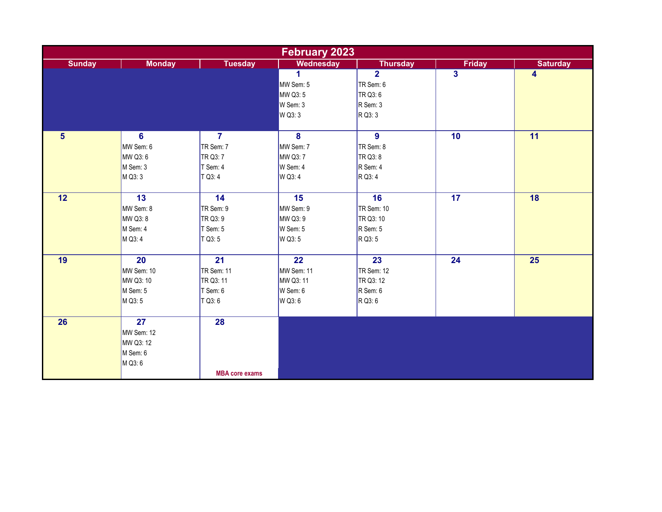|                 | <b>February 2023</b> |                       |                      |                   |                         |                         |  |  |
|-----------------|----------------------|-----------------------|----------------------|-------------------|-------------------------|-------------------------|--|--|
| <b>Sunday</b>   | <b>Monday</b>        | <b>Tuesday</b>        | <b>Wednesday</b>     | <b>Thursday</b>   | <b>Friday</b>           | <b>Saturday</b>         |  |  |
|                 |                      |                       | $\blacktriangleleft$ | $\overline{2}$    | $\overline{\mathbf{3}}$ | $\overline{\mathbf{4}}$ |  |  |
|                 |                      |                       | MW Sem: 5            | TR Sem: 6         |                         |                         |  |  |
|                 |                      |                       | MW Q3: 5             | TR Q3:6           |                         |                         |  |  |
|                 |                      |                       | W Sem: 3             | R Sem: 3          |                         |                         |  |  |
|                 |                      |                       | W Q3: 3              | R Q3: 3           |                         |                         |  |  |
|                 |                      |                       |                      |                   |                         |                         |  |  |
| $5\phantom{1}$  | 6                    | $\overline{7}$        | $\overline{8}$       | $\overline{9}$    | 10                      | $\overline{11}$         |  |  |
|                 | MW Sem: 6            | TR Sem: 7             | MW Sem: 7            | TR Sem: 8         |                         |                         |  |  |
|                 | MW Q3: 6             | TR Q3: 7              | MW Q3: 7             | TR Q3: 8          |                         |                         |  |  |
|                 | M Sem: 3             | T Sem: 4              | W Sem: 4             | R Sem: 4          |                         |                         |  |  |
|                 | M Q3: 3              | $T$ Q3: 4             | W Q3: 4              | R Q3: 4           |                         |                         |  |  |
|                 |                      |                       |                      |                   |                         |                         |  |  |
| 12              | 13                   | 14                    | 15                   | 16                | 17                      | 18                      |  |  |
|                 | MW Sem: 8            | TR Sem: 9             | MW Sem: 9            | <b>TR Sem: 10</b> |                         |                         |  |  |
|                 | MW Q3: 8             | TR Q3: 9              | MW Q3: 9             | TR Q3: 10         |                         |                         |  |  |
|                 | M Sem: 4             | T Sem: 5              | W Sem: 5             | R Sem: 5          |                         |                         |  |  |
|                 | M Q3: 4              | $T$ Q3: 5             | W Q3: 5              | R Q3: 5           |                         |                         |  |  |
|                 |                      |                       |                      |                   |                         |                         |  |  |
| 19              | 20                   | 21                    | 22                   | 23                | 24                      | 25                      |  |  |
|                 | MW Sem: 10           | TR Sem: 11            | MW Sem: 11           | TR Sem: 12        |                         |                         |  |  |
|                 | MW Q3: 10            | TR Q3: 11             | MW Q3: 11            | TR Q3: 12         |                         |                         |  |  |
|                 | M Sem: 5             | T Sem: 6              | W Sem: 6             | R Sem: 6          |                         |                         |  |  |
|                 | M Q3: 5              | $T$ Q3: 6             | W Q3: 6              | R Q3: 6           |                         |                         |  |  |
|                 |                      |                       |                      |                   |                         |                         |  |  |
| $\overline{26}$ | $\overline{27}$      | $\overline{28}$       |                      |                   |                         |                         |  |  |
|                 | MW Sem: 12           |                       |                      |                   |                         |                         |  |  |
|                 | MW Q3: 12            |                       |                      |                   |                         |                         |  |  |
|                 | M Sem: 6             |                       |                      |                   |                         |                         |  |  |
|                 | M Q3: 6              |                       |                      |                   |                         |                         |  |  |
|                 |                      | <b>MBA core exams</b> |                      |                   |                         |                         |  |  |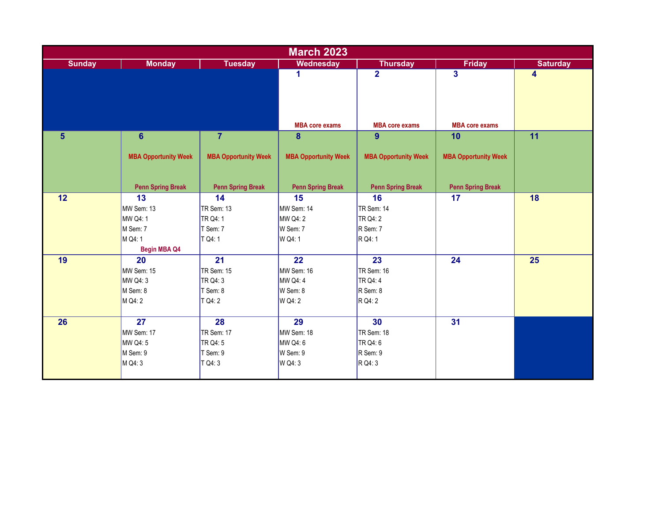|                | <b>March 2023</b>           |                             |                             |                             |                             |                 |  |  |
|----------------|-----------------------------|-----------------------------|-----------------------------|-----------------------------|-----------------------------|-----------------|--|--|
| <b>Sunday</b>  | <b>Monday</b>               | <b>Tuesday</b>              | <b>Wednesday</b>            | <b>Thursday</b>             | <b>Friday</b>               | <b>Saturday</b> |  |  |
|                |                             |                             | 1                           | $\overline{2}$              | 3                           | 4               |  |  |
|                |                             |                             |                             |                             |                             |                 |  |  |
|                |                             |                             |                             |                             |                             |                 |  |  |
|                |                             |                             |                             |                             |                             |                 |  |  |
|                |                             |                             |                             |                             |                             |                 |  |  |
|                |                             |                             | <b>MBA core exams</b>       | <b>MBA core exams</b>       | <b>MBA core exams</b>       |                 |  |  |
| $5\phantom{1}$ | $6\phantom{1}$              | $\overline{7}$              | 8                           | 9                           | 10                          | $\overline{11}$ |  |  |
|                |                             |                             |                             |                             |                             |                 |  |  |
|                | <b>MBA Opportunity Week</b> | <b>MBA Opportunity Week</b> | <b>MBA Opportunity Week</b> | <b>MBA Opportunity Week</b> | <b>MBA Opportunity Week</b> |                 |  |  |
|                |                             |                             |                             |                             |                             |                 |  |  |
|                | <b>Penn Spring Break</b>    | <b>Penn Spring Break</b>    | <b>Penn Spring Break</b>    | <b>Penn Spring Break</b>    | <b>Penn Spring Break</b>    |                 |  |  |
| 12             | 13                          | 14                          | 15                          | 16                          | 17                          | 18              |  |  |
|                | MW Sem: 13                  | <b>TR Sem: 13</b>           | MW Sem: 14                  | TR Sem: 14                  |                             |                 |  |  |
|                | MW Q4: 1                    | TR Q4: 1                    | MW Q4: 2                    | TR Q4: 2                    |                             |                 |  |  |
|                | M Sem: 7                    | T Sem: 7                    | W Sem: 7                    | R Sem: 7                    |                             |                 |  |  |
|                | M Q4: 1                     | T Q4: 1                     | W Q4: 1                     | R Q4: 1                     |                             |                 |  |  |
|                | <b>Begin MBA Q4</b>         |                             |                             |                             |                             |                 |  |  |
| 19             | 20                          | $\overline{21}$             | $\overline{22}$             | 23                          | 24                          | 25              |  |  |
|                | MW Sem: 15                  | TR Sem: 15                  | MW Sem: 16                  | TR Sem: 16                  |                             |                 |  |  |
|                | MW Q4: 3                    | TR Q4: 3                    | MW Q4: 4                    | TR Q4: 4                    |                             |                 |  |  |
|                | M Sem: 8                    | T Sem: 8                    | W Sem: 8                    | R Sem: 8                    |                             |                 |  |  |
|                | M Q4: 2                     | T Q4: 2                     | W Q4: 2                     | R Q4: 2                     |                             |                 |  |  |
|                |                             |                             |                             |                             |                             |                 |  |  |
| 26             | $\overline{27}$             | $\overline{28}$             | $\overline{29}$             | 30                          | $\overline{31}$             |                 |  |  |
|                | MW Sem: 17                  | <b>TR Sem: 17</b>           | MW Sem: 18                  | TR Sem: 18                  |                             |                 |  |  |
|                | MW Q4: 5                    | TR Q4: 5                    | MW Q4: 6                    | TR Q4: 6                    |                             |                 |  |  |
|                | M Sem: 9                    | T Sem: 9                    | W Sem: 9                    | $R$ Sem: 9                  |                             |                 |  |  |
|                | M Q4: 3                     | T Q4: 3                     | W Q4: 3                     | R Q4: 3                     |                             |                 |  |  |
|                |                             |                             |                             |                             |                             |                 |  |  |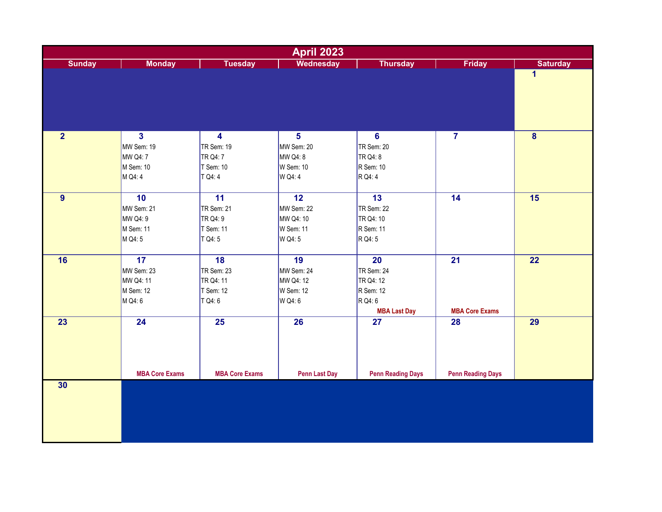| <b>April 2023</b> |                                                                                  |                                                                                 |                                                                    |                                                                                           |                                |                         |  |  |
|-------------------|----------------------------------------------------------------------------------|---------------------------------------------------------------------------------|--------------------------------------------------------------------|-------------------------------------------------------------------------------------------|--------------------------------|-------------------------|--|--|
| <b>Sunday</b>     | <b>Monday</b>                                                                    | <b>Tuesday</b>                                                                  | Wednesday                                                          | <b>Thursday</b>                                                                           | Friday                         | <b>Saturday</b>         |  |  |
|                   |                                                                                  |                                                                                 |                                                                    |                                                                                           |                                | $\overline{\mathbf{1}}$ |  |  |
| 2 <sup>1</sup>    | $\overline{\mathbf{3}}$<br>MW Sem: 19<br><b>MW Q4: 7</b><br>M Sem: 10<br>M Q4: 4 | $\overline{\mathbf{4}}$<br><b>TR Sem: 19</b><br>TR Q4: 7<br>T Sem: 10<br>T Q4:4 | 5 <sup>5</sup><br>MW Sem: 20<br>MW Q4: 8<br>W Sem: 10<br>W Q4:4    | $6\phantom{1}$<br>TR Sem: 20<br>TR Q4: 8<br>R Sem: 10<br>R Q4: 4                          | $\overline{7}$                 | $\overline{\mathbf{8}}$ |  |  |
| 9                 | 10<br>MW Sem: 21<br>MW Q4: 9<br>M Sem: 11<br>M Q4: 5                             | $\overline{11}$<br><b>TR Sem: 21</b><br>TR Q4: 9<br>T Sem: 11<br>T Q4:5         | $\overline{12}$<br>MW Sem: 22<br>MW Q4: 10<br>W Sem: 11<br>W Q4: 5 | $\overline{13}$<br>TR Sem: 22<br>TR Q4: 10<br>R Sem: 11<br>R Q4: 5                        | 14                             | 15                      |  |  |
| 16                | $\overline{17}$<br>MW Sem: 23<br>MW Q4: 11<br>M Sem: 12<br>M Q4: 6               | $\overline{18}$<br><b>TR Sem: 23</b><br>TR Q4: 11<br>T Sem: 12<br>T Q4: 6       | $\overline{19}$<br>MW Sem: 24<br>MW Q4: 12<br>W Sem: 12<br>W Q4:6  | $\overline{20}$<br>TR Sem: 24<br>TR Q4: 12<br>R Sem: 12<br>R Q4: 6<br><b>MBA Last Day</b> | 21<br><b>MBA Core Exams</b>    | 22                      |  |  |
| $\overline{23}$   | $\overline{24}$<br><b>MBA Core Exams</b>                                         | $\overline{25}$<br><b>MBA Core Exams</b>                                        | $\overline{26}$<br><b>Penn Last Day</b>                            | 27<br><b>Penn Reading Days</b>                                                            | 28<br><b>Penn Reading Days</b> | 29                      |  |  |
| 30                |                                                                                  |                                                                                 |                                                                    |                                                                                           |                                |                         |  |  |